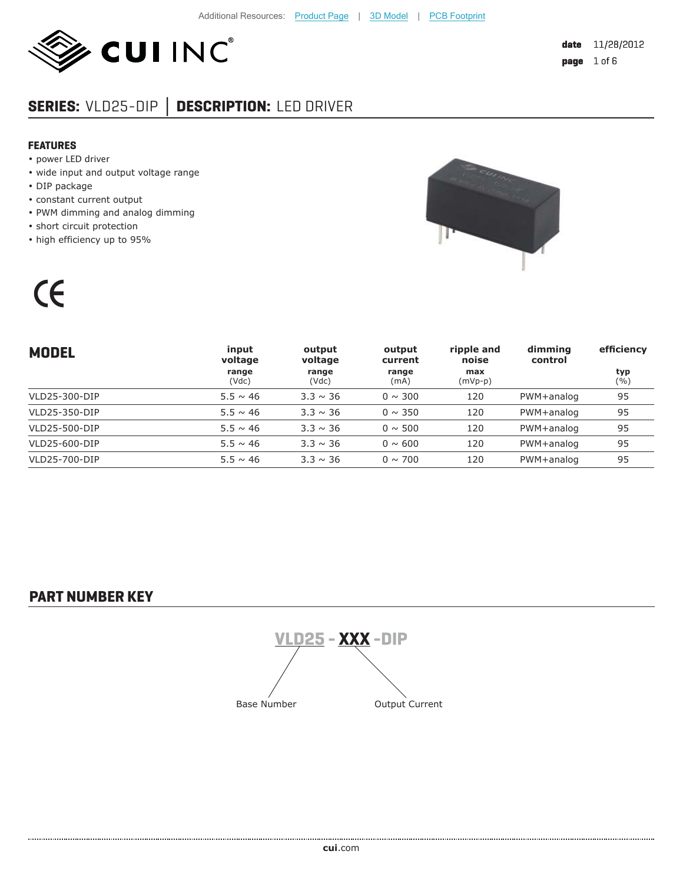

# **SERIES:** VLD25-DIP **│ DESCRIPTION:** LED DRIVER

#### **FEATURES**

- power LED driver
- wide input and output voltage range
- DIP package

 $\epsilon$ 

- constant current output
- PWM dimming and analog dimming
- short circuit protection
- high efficiency up to 95%



| <b>MODEL</b>  | input<br>voltage | output<br>voltage | output<br>current | ripple and<br>noise | dimming<br>control | efficiency |
|---------------|------------------|-------------------|-------------------|---------------------|--------------------|------------|
|               | range<br>(Vdc)   | range<br>(Vdc)    | range<br>(mA)     | max<br>$(mVp-p)$    |                    | typ<br>(%) |
| VLD25-300-DIP | $5.5 \sim 46$    | $3.3 \sim 36$     | $0 \sim 300$      | 120                 | PWM+analog         | 95         |
| VLD25-350-DIP | $5.5 \sim 46$    | $3.3 \sim 36$     | $0 \sim 350$      | 120                 | PWM+analog         | 95         |
| VLD25-500-DIP | $5.5 \sim 46$    | $3.3 \sim 36$     | $0 \sim 500$      | 120                 | PWM+analog         | 95         |
| VLD25-600-DIP | $5.5 \sim 46$    | $3.3 \sim 36$     | $0 \sim 600$      | 120                 | PWM+analog         | 95         |
| VLD25-700-DIP | $5.5 \sim 46$    | $3.3 \sim 36$     | $0 \sim 700$      | 120                 | PWM+analog         | 95         |

## **PART NUMBER KEY**

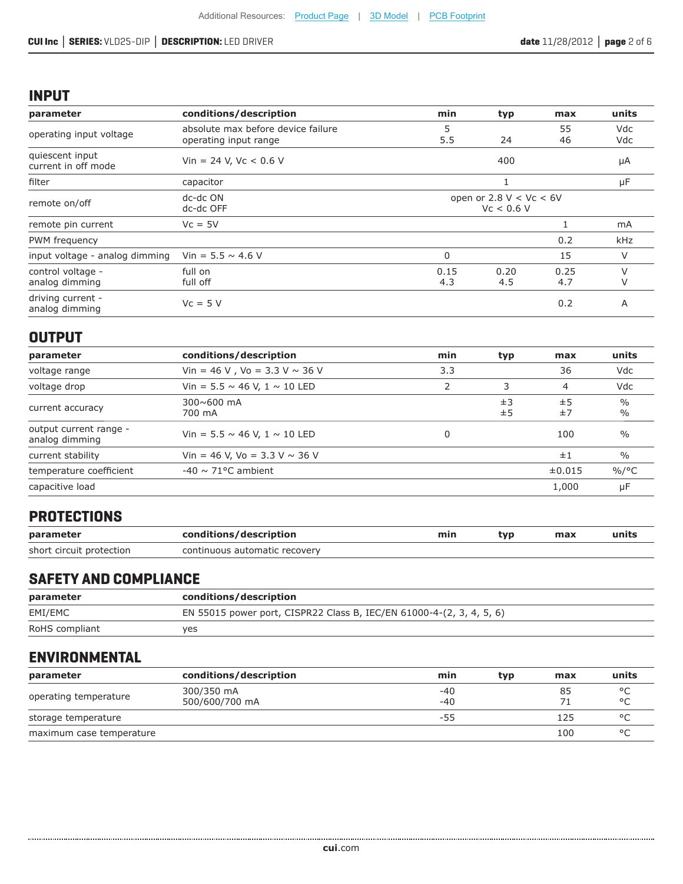## **INPUT**

| parameter                              | conditions/description                                      | min                                     | typ         | max         | units      |
|----------------------------------------|-------------------------------------------------------------|-----------------------------------------|-------------|-------------|------------|
| operating input voltage                | absolute max before device failure<br>operating input range | 5<br>5.5                                | 24          | 55<br>46    | Vdc<br>Vdc |
| quiescent input<br>current in off mode | Vin = 24 V, Vc < $0.6$ V                                    |                                         | 400         |             | μA         |
| filter                                 | capacitor                                                   |                                         |             |             | μF         |
| remote on/off                          | dc-dc ON<br>dc-dc OFF                                       | open or 2.8 $V < Vc < 6V$<br>Vc < 0.6 V |             |             |            |
| remote pin current                     | $Vc = 5V$                                                   |                                         |             |             | mA         |
| PWM frequency                          |                                                             |                                         |             | 0.2         | <b>kHz</b> |
| input voltage - analog dimming         | Vin = $5.5 \sim 4.6$ V                                      | $\Omega$                                |             | 15          | V          |
| control voltage -<br>analog dimming    | full on<br>full off                                         | 0.15<br>4.3                             | 0.20<br>4.5 | 0.25<br>4.7 | V          |
| driving current -<br>analog dimming    | $Vc = 5V$                                                   |                                         |             | 0.2         | A          |

## **OUTPUT**

| parameter                                | conditions/description                 | min | typ      | max      | units                          |
|------------------------------------------|----------------------------------------|-----|----------|----------|--------------------------------|
| voltage range                            | Vin = 46 V, Vo = 3.3 V $\sim$ 36 V     | 3.3 |          | 36       | Vdc                            |
| voltage drop                             | Vin = $5.5 \sim 46$ V, $1 \sim 10$ LED |     | 3        | 4        | Vdc                            |
| current accuracy                         | $300 \times 600$ mA<br>700 mA          |     | ±3<br>±5 | ±5<br>±7 | $\frac{0}{0}$<br>$\frac{0}{0}$ |
| output current range -<br>analog dimming | Vin = $5.5 \sim 46$ V, $1 \sim 10$ LED |     |          | 100      | $\frac{0}{0}$                  |
| current stability                        | Vin = 46 V, Vo = 3.3 V $\sim$ 36 V     |     |          | ±1       | $\frac{0}{0}$                  |
| temperature coefficient                  | $-40 \sim 71^{\circ}$ C ambient        |     |          | ±0.015   | $\%$ /°C                       |
| capacitive load                          |                                        |     |          | 1,000    | μF                             |

## **PROTECTIONS**

| parameter                | conditions/description        | min | tvp | max | units |
|--------------------------|-------------------------------|-----|-----|-----|-------|
| short circuit protection | continuous automatic recovery |     |     |     |       |

## **SAFETY AND COMPLIANCE**

| parameter      | conditions/description                                               |
|----------------|----------------------------------------------------------------------|
| EMI/EMC        | EN 55015 power port, CISPR22 Class B, IEC/EN 61000-4-(2, 3, 4, 5, 6) |
| RoHS compliant | yes                                                                  |

## **ENVIRONMENTAL**

| parameter                | conditions/description | min   | typ | max | units   |
|--------------------------|------------------------|-------|-----|-----|---------|
| operating temperature    | 300/350 mA             | $-40$ |     | 85  | $\circ$ |
|                          | 500/600/700 mA         | $-40$ |     | 71  | $\circ$ |
| storage temperature      |                        | -55   |     | 125 | $\circ$ |
| maximum case temperature |                        |       |     | 100 | $\circ$ |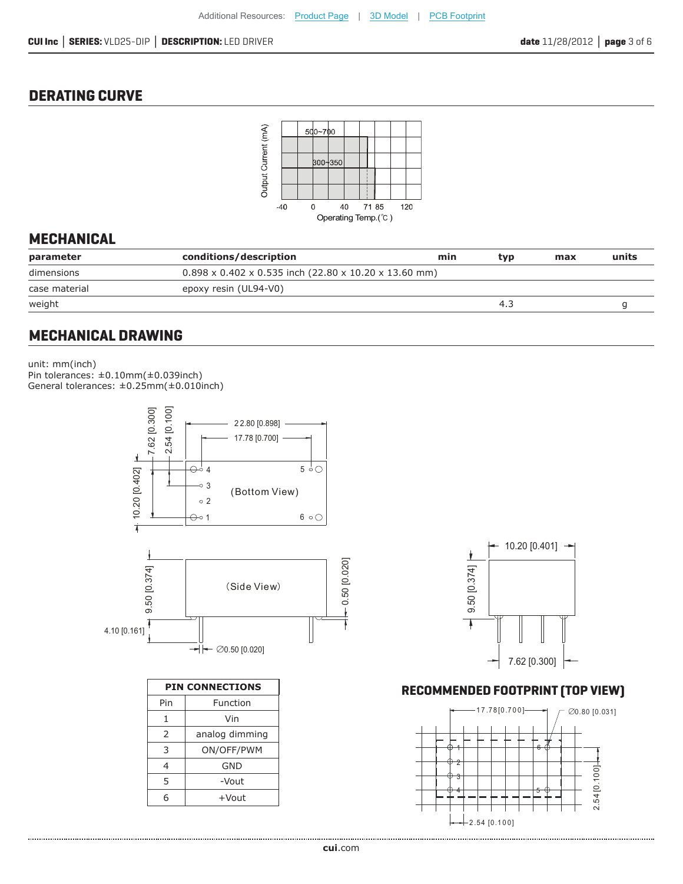## **DERATING CURVE**



## **MECHANICAL**

| parameter     | conditions/description | min                                                               | tvp | max | units |
|---------------|------------------------|-------------------------------------------------------------------|-----|-----|-------|
| dimensions    |                        | $0.898 \times 0.402 \times 0.535$ inch (22.80 x 10.20 x 13.60 mm) |     |     |       |
| case material | epoxy resin (UL94-V0)  |                                                                   |     |     |       |
| weight        |                        |                                                                   | 4.3 |     |       |
|               |                        |                                                                   |     |     |       |

## **MECHANICAL DRAWING**

unit: mm(inch) Pin tolerances:  $\pm 0.10$ mm( $\pm 0.039$ inch) General tolerances: ±0.25mm(±0.010inch)



| <b>PIN CONNECTIONS</b> |                |  |  |  |
|------------------------|----------------|--|--|--|
| Pin                    | Function       |  |  |  |
| 1                      | Vin            |  |  |  |
| 2                      | analog dimming |  |  |  |
| 3                      | ON/OFF/PWM     |  |  |  |
| 4                      | GND            |  |  |  |
| 5                      | -Vout          |  |  |  |
| 6                      | +Vout          |  |  |  |



### **RECOMMENDED FOOTPRINT (TOP VIEW)**

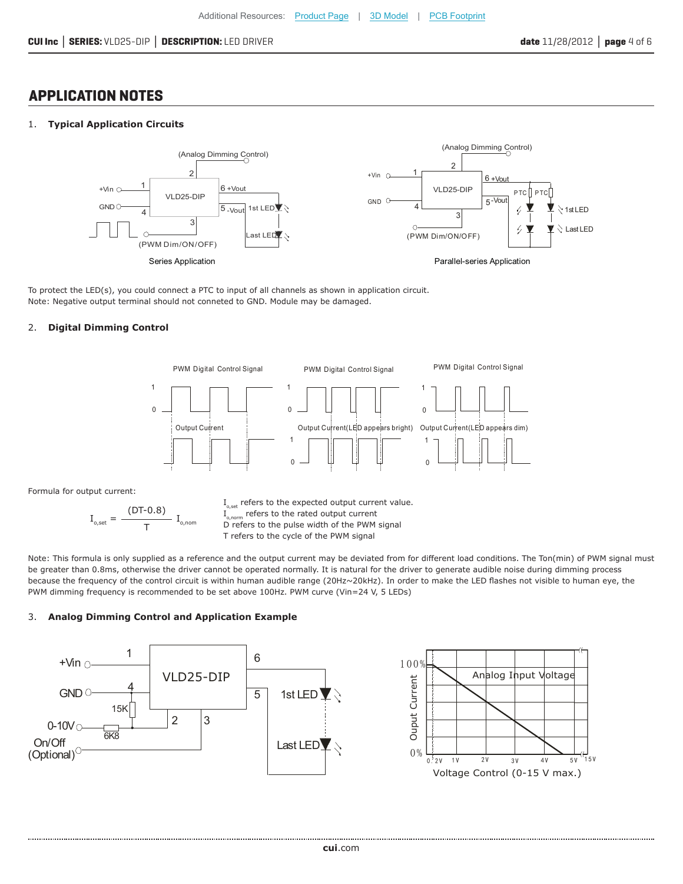## **APPLICATION NOTES**

#### 1. **Typical Application Circuits**



To protect the LED(s), you could connect a PTC to input of all channels as shown in application circuit. Note: Negative output terminal should not conneted to GND. Module may be damaged.

#### 2. **Digital Dimming Control**



Formula for output current:

$$
I_{_{o,set}}=\frac{\text{(DT-0.8)}}{T}\ I_{_{o,\text{nom}}}
$$

 $I_{o,set}$  refers to the expected output current value.  $I_{o,norm}$  refers to the rated output current D refers to the pulse width of the PWM signal T refers to the cycle of the PWM signal

Note: This formula is only supplied as a reference and the output current may be deviated from for different load conditions. The Ton(min) of PWM signal must be greater than 0.8ms, otherwise the driver cannot be operated normally. It is natural for the driver to generate audible noise during dimming process because the frequency of the control circuit is within human audible range (20Hz~20kHz). In order to make the LED flashes not visible to human eye, the PWM dimming frequency is recommended to be set above 100Hz. PWM curve (Vin=24 V, 5 LEDs)

#### 3. **Analog Dimming Control and Application Example**

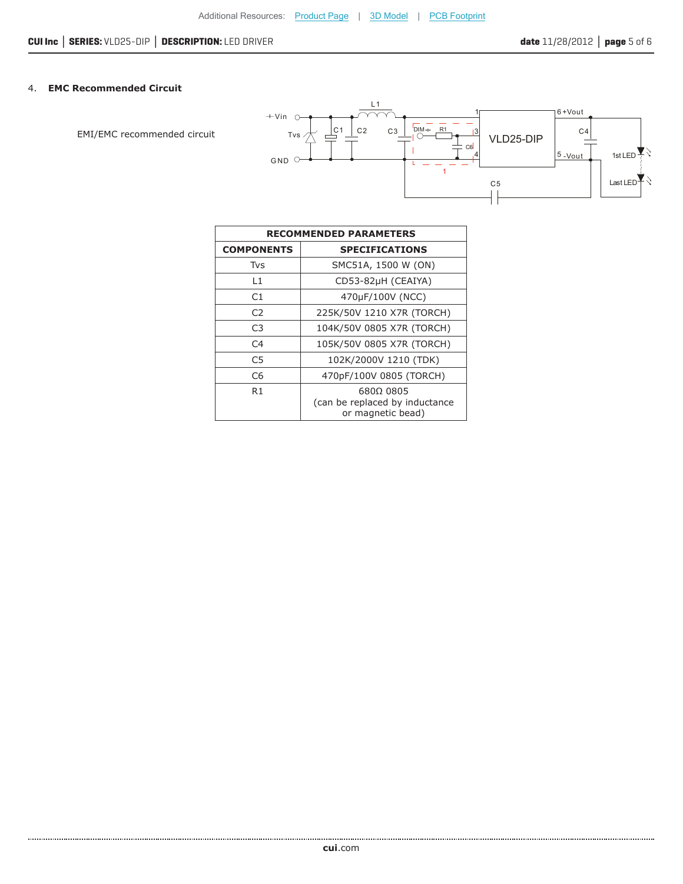### 4. **EMC Recommended Circuit**

EMI/EMC recommended circuit



| <b>RECOMMENDED PARAMETERS</b> |                                                                  |  |  |  |
|-------------------------------|------------------------------------------------------------------|--|--|--|
| <b>COMPONENTS</b>             | <b>SPECIFICATIONS</b>                                            |  |  |  |
| Tvs                           | SMC51A, 1500 W (ON)                                              |  |  |  |
| L1                            | CD53-82µH (CEAIYA)                                               |  |  |  |
| C1                            | 470µF/100V (NCC)                                                 |  |  |  |
| C2                            | 225K/50V 1210 X7R (TORCH)                                        |  |  |  |
| C <sub>3</sub>                | 104K/50V 0805 X7R (TORCH)                                        |  |  |  |
| C <sub>4</sub>                | 105K/50V 0805 X7R (TORCH)                                        |  |  |  |
| C5                            | 102K/2000V 1210 (TDK)                                            |  |  |  |
| C6                            | 470pF/100V 0805 (TORCH)                                          |  |  |  |
| R1                            | 680Ω 0805<br>(can be replaced by inductance<br>or magnetic bead) |  |  |  |